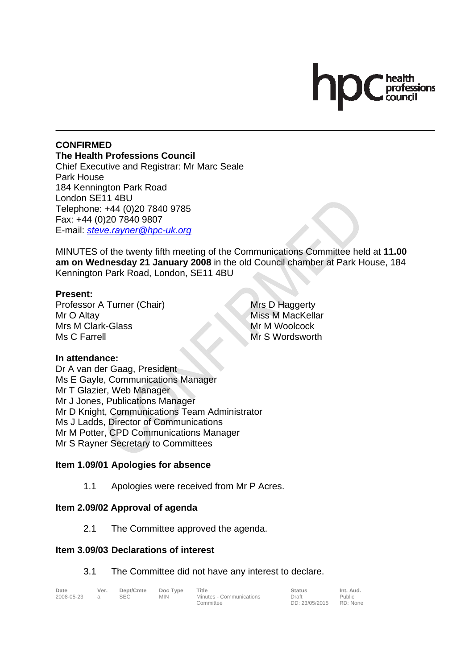# professions

#### **CONFIRMED The Health Professions Council**

Chief Executive and Registrar: Mr Marc Seale Park House 184 Kennington Park Road London SE11 4BU Telephone: +44 (0)20 7840 9785 Fax: +44 (0)20 7840 9807 E-mail: *steve.rayner@hpc-uk.org*

MINUTES of the twenty fifth meeting of the Communications Committee held at **11.00 am on Wednesday 21 January 2008** in the old Council chamber at Park House, 184 Kennington Park Road, London, SE11 4BU

### **Present:**

Professor A Turner (Chair) Mr O Altay Mrs M Clark-Glass Ms C Farrell

Mrs D Haggerty Miss M MacKellar Mr M Woolcock Mr S Wordsworth

### **In attendance:**

Dr A van der Gaag, President Ms E Gayle, Communications Manager Mr T Glazier, Web Manager Mr J Jones, Publications Manager Mr D Knight, Communications Team Administrator Ms J Ladds, Director of Communications Mr M Potter, CPD Communications Manager Mr S Rayner Secretary to Committees

### **Item 1.09/01 Apologies for absence**

1.1 Apologies were received from Mr P Acres.

### **Item 2.09/02 Approval of agenda**

2.1 The Committee approved the agenda.

#### **Item 3.09/03 Declarations of interest**

#### 3.1 The Committee did not have any interest to declare.

| . |  |
|---|--|
|   |  |

Date Ver. Dept/Cmte Doc<sup>Type</sup> Title **Status** Status Int. Aud. **Ver.** Dept/Cmte Doc Type Title<br>a SEC MIN Minutes - Communications Committee

Draft DD: 23/05/2015

Public RD: None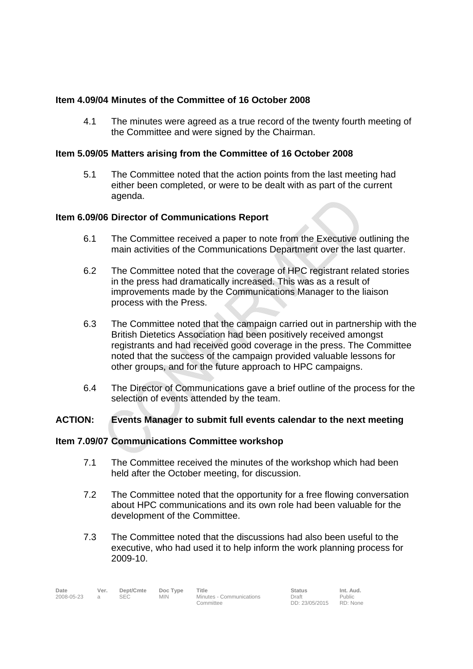# **Item 4.09/04 Minutes of the Committee of 16 October 2008**

4.1 The minutes were agreed as a true record of the twenty fourth meeting of the Committee and were signed by the Chairman.

## **Item 5.09/05 Matters arising from the Committee of 16 October 2008**

5.1 The Committee noted that the action points from the last meeting had either been completed, or were to be dealt with as part of the current agenda.

# **Item 6.09/06 Director of Communications Report**

- 6.1 The Committee received a paper to note from the Executive outlining the main activities of the Communications Department over the last quarter.
- 6.2 The Committee noted that the coverage of HPC registrant related stories in the press had dramatically increased. This was as a result of improvements made by the Communications Manager to the liaison process with the Press.
- 6.3 The Committee noted that the campaign carried out in partnership with the British Dietetics Association had been positively received amongst registrants and had received good coverage in the press. The Committee noted that the success of the campaign provided valuable lessons for other groups, and for the future approach to HPC campaigns.
- 6.4 The Director of Communications gave a brief outline of the process for the selection of events attended by the team.

### **ACTION: Events Manager to submit full events calendar to the next meeting**

### **Item 7.09/07 Communications Committee workshop**

- 7.1 The Committee received the minutes of the workshop which had been held after the October meeting, for discussion.
- 7.2 The Committee noted that the opportunity for a free flowing conversation about HPC communications and its own role had been valuable for the development of the Committee.
- 7.3 The Committee noted that the discussions had also been useful to the executive, who had used it to help inform the work planning process for 2009-10.

| Date<br>Ver.<br>Doc Type<br>Title<br>Dept/Cmte<br><b>Status</b><br>2008-05-23<br><b>SEC</b><br>Minutes - Communications<br>MIN.<br>Draft<br>DD: 23/05/2015<br>Committee | Int. Aud.<br>Public<br>RD: None |
|-------------------------------------------------------------------------------------------------------------------------------------------------------------------------|---------------------------------|
|-------------------------------------------------------------------------------------------------------------------------------------------------------------------------|---------------------------------|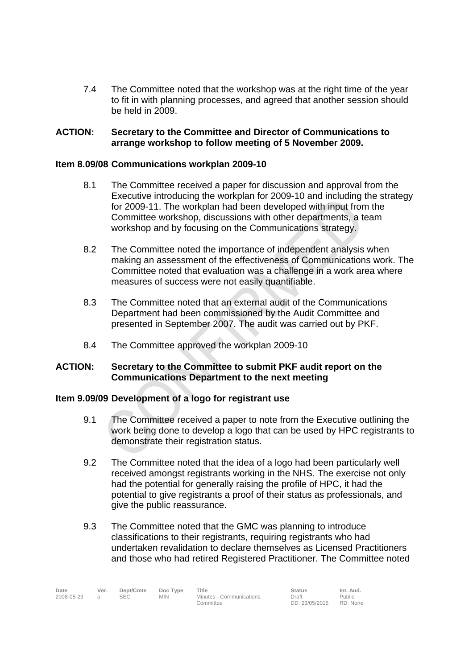7.4 The Committee noted that the workshop was at the right time of the year to fit in with planning processes, and agreed that another session should be held in 2009.

## **ACTION: Secretary to the Committee and Director of Communications to arrange workshop to follow meeting of 5 November 2009.**

## **Item 8.09/08 Communications workplan 2009-10**

- 8.1 The Committee received a paper for discussion and approval from the Executive introducing the workplan for 2009-10 and including the strategy for 2009-11. The workplan had been developed with input from the Committee workshop, discussions with other departments, a team workshop and by focusing on the Communications strategy.
- 8.2 The Committee noted the importance of independent analysis when making an assessment of the effectiveness of Communications work. The Committee noted that evaluation was a challenge in a work area where measures of success were not easily quantifiable.
- 8.3 The Committee noted that an external audit of the Communications Department had been commissioned by the Audit Committee and presented in September 2007. The audit was carried out by PKF.
- 8.4 The Committee approved the workplan 2009-10

# **ACTION: Secretary to the Committee to submit PKF audit report on the Communications Department to the next meeting**

### **Item 9.09/09 Development of a logo for registrant use**

- 9.1 The Committee received a paper to note from the Executive outlining the work being done to develop a logo that can be used by HPC registrants to demonstrate their registration status.
- 9.2 The Committee noted that the idea of a logo had been particularly well received amongst registrants working in the NHS. The exercise not only had the potential for generally raising the profile of HPC, it had the potential to give registrants a proof of their status as professionals, and give the public reassurance.
- 9.3 The Committee noted that the GMC was planning to introduce classifications to their registrants, requiring registrants who had undertaken revalidation to declare themselves as Licensed Practitioners and those who had retired Registered Practitioner. The Committee noted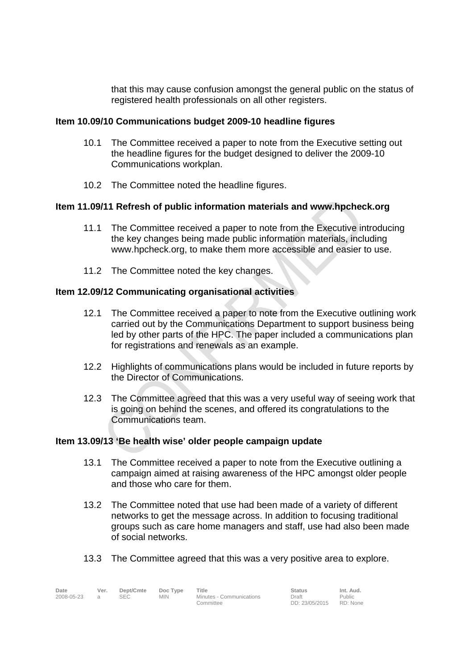that this may cause confusion amongst the general public on the status of registered health professionals on all other registers.

# **Item 10.09/10 Communications budget 2009-10 headline figures**

- 10.1 The Committee received a paper to note from the Executive setting out the headline figures for the budget designed to deliver the 2009-10 Communications workplan.
- 10.2 The Committee noted the headline figures.

# **Item 11.09/11 Refresh of public information materials and www.hpcheck.org**

- 11.1 The Committee received a paper to note from the Executive introducing the key changes being made public information materials, including www.hpcheck.org, to make them more accessible and easier to use.
- 11.2 The Committee noted the key changes.

# **Item 12.09/12 Communicating organisational activities**

- 12.1 The Committee received a paper to note from the Executive outlining work carried out by the Communications Department to support business being led by other parts of the HPC. The paper included a communications plan for registrations and renewals as an example.
- 12.2 Highlights of communications plans would be included in future reports by the Director of Communications.
- 12.3 The Committee agreed that this was a very useful way of seeing work that is going on behind the scenes, and offered its congratulations to the Communications team.

### **Item 13.09/13 'Be health wise' older people campaign update**

- 13.1 The Committee received a paper to note from the Executive outlining a campaign aimed at raising awareness of the HPC amongst older people and those who care for them.
- 13.2 The Committee noted that use had been made of a variety of different networks to get the message across. In addition to focusing traditional groups such as care home managers and staff, use had also been made of social networks.

13.3 The Committee agreed that this was a very positive area to explore.

| Date       | Ver. | Dept/Cmte | Doc Type   | Title                                 | <b>Status</b>           | Int. Aud.          |
|------------|------|-----------|------------|---------------------------------------|-------------------------|--------------------|
| 2008-05-23 |      | SEC       | <b>MIN</b> | Minutes - Communications<br>Committee | Draft<br>DD: 23/05/2015 | Public<br>RD: None |